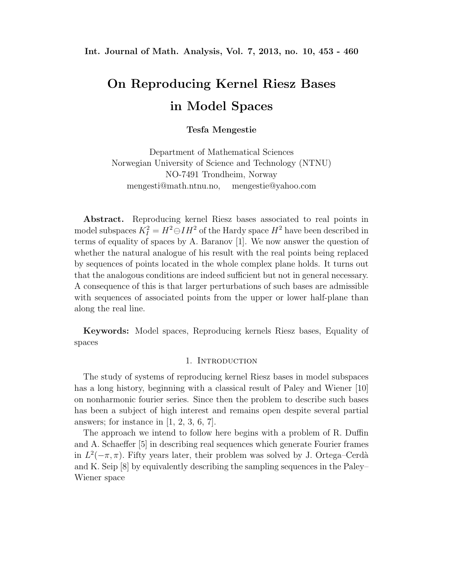# **On Reproducing Kernel Riesz Bases in Model Spaces**

**Tesfa Mengestie**

Department of Mathematical Sciences Norwegian University of Science and Technology (NTNU) NO-7491 Trondheim, Norway mengesti@math.ntnu.no, mengestie@yahoo.com

**Abstract.** Reproducing kernel Riesz bases associated to real points in model subspaces  $K_I^2 = H^2 \ominus IH^2$  of the Hardy space  $H^2$  have been described in<br>terms of equality of grosses by A. Berganey [1]. We new approx the question of terms of equality of spaces by A. Baranov [1]. We now answer the question of whether the natural analogue of his result with the real points being replaced by sequences of points located in the whole complex plane holds. It turns out that the analogous conditions are indeed sufficient but not in general necessary. A consequence of this is that larger perturbations of such bases are admissible with sequences of associated points from the upper or lower half-plane than along the real line.

**Keywords:** Model spaces, Reproducing kernels Riesz bases, Equality of spaces

#### 1. INTRODUCTION

The study of systems of reproducing kernel Riesz bases in model subspaces has a long history, beginning with a classical result of Paley and Wiener [10] on nonharmonic fourier series. Since then the problem to describe such bases has been a subject of high interest and remains open despite several partial answers; for instance in  $[1, 2, 3, 6, 7]$ .

The approach we intend to follow here begins with a problem of R. Duffin and A. Schaeffer [5] in describing real sequences which generate Fourier frames in  $L^2(-\pi, \pi)$ . Fifty years later, their problem was solved by J. Ortega–Cerdà and K. Seip [8] by equivalently describing the sampling sequences in the Paley– Wiener space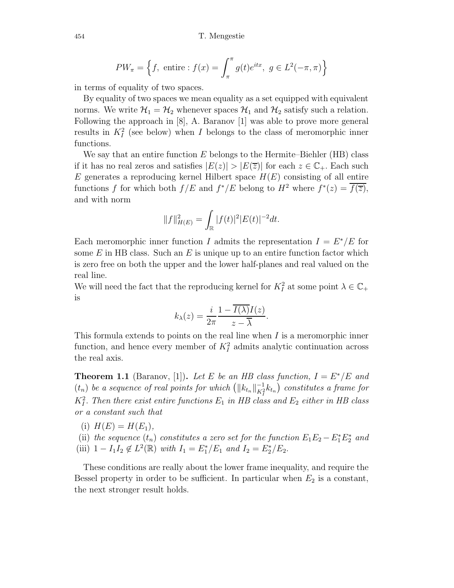$$
PW_{\pi} = \left\{ f, \text{ entire : } f(x) = \int_{\pi}^{\pi} g(t)e^{itx}, \ g \in L^{2}(-\pi, \pi) \right\}
$$

in terms of equality of two spaces.

By equality of two spaces we mean equality as a set equipped with equivalent norms. We write  $\mathcal{H}_1 = \mathcal{H}_2$  whenever spaces  $\mathcal{H}_1$  and  $\mathcal{H}_2$  satisfy such a relation. Following the approach in [8], A. Baranov [1] was able to prove more general results in  $K_I^2$  (see below) when I belongs to the class of meromorphic inner<br>functions functions.

We say that an entire function  $E$  belongs to the Hermite–Biehler (HB) class if it has no real zeros and satisfies  $|E(z)| > |E(\overline{z})|$  for each  $z \in \mathbb{C}_+$ . Each such E generates a reproducing kernel Hilbert space  $H(E)$  consisting of all entire functions f for which both  $f/E$  and  $f^*/E$  belong to  $H^2$  where  $f^*(z) = \overline{f(\overline{z})}$ , and with norm

$$
||f||_{H(E)}^2 = \int_{\mathbb{R}} |f(t)|^2 |E(t)|^{-2} dt.
$$

Each meromorphic inner function I admits the representation  $I = E^*/E$  for some  $E$  in HB class. Such an  $E$  is unique up to an entire function factor which is zero free on both the upper and the lower half-planes and real valued on the real line.

We will need the fact that the reproducing kernel for  $K_I^2$  at some point  $\lambda \in \mathbb{C}_+$ is

$$
k_{\lambda}(z) = \frac{i}{2\pi} \frac{1 - I(\lambda)I(z)}{z - \overline{\lambda}}.
$$

This formula extends to points on the real line when  $I$  is a meromorphic inner function, and hence every member of  $K_I^2$  admits analytic continuation across the real axis.

**Theorem 1.1** (Baranov, [1]). Let E be an HB class function,  $I = E^*/E$  and  $(t_n)$  *be a sequence of real points for which*  $(\Vert k_{t_n} \Vert_{K_1^2}^{-1} k_{t_n})$  constitutes a frame for  $K_I^2$ . Then there exist entire functions  $E_1$  in HB class and  $E_2$  either in HB class *or a constant such that*

(i) 
$$
H(E) = H(E_1)
$$
,

(ii) the sequence  $(t_n)$  constitutes a zero set for the function  $E_1E_2 - E_1^*E_2^*$  and<br> $E_1^* = E_1^* E_2^* = E_1^* E_2^* = E_1^* E_1^* = E_2^* E_2^*$ (iii)  $1 - I_1 I_2 \notin L^2(\mathbb{R})$  *with*  $I_1 = E_1^*/E_1$  *and*  $I_2 = E_2^*/E_2$ .

These conditions are really about the lower frame inequality, and require the Bessel property in order to be sufficient. In particular when  $E_2$  is a constant, the next stronger result holds.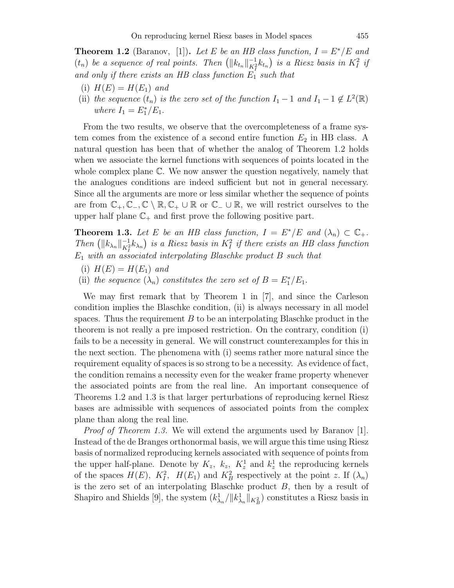**Theorem 1.2** (Baranov, [1]). Let E be an HB class function,  $I = E^*/E$  and  $(t_n)$  *be a sequence of real points. Then*  $(||k_{t_n}||_{K_t^2}^{-1}k_{t_n})$  *is a Riesz basis in*  $K_t^2$  *if* and only if there exists an *HP* class function  $F_t$  exists that *and only if there exists an HB class function*  $E_1$  *such that* 

- (i)  $H(E) = H(E_1)$  *and*
- (ii) *the sequence*  $(t_n)$  *is the zero set of the function*  $I_1 1$  *and*  $I_1 1 \notin L^2(\mathbb{R})$ *where*  $I_1 = E_1^* / E_1$ .

From the two results, we observe that the overcompleteness of a frame system comes from the existence of a second entire function  $E_2$  in HB class. A natural question has been that of whether the analog of Theorem 1.2 holds when we associate the kernel functions with sequences of points located in the whole complex plane C. We now answer the question negatively, namely that the analogues conditions are indeed sufficient but not in general necessary. Since all the arguments are more or less similar whether the sequence of points are from  $\mathbb{C}_+$ ,  $\mathbb{C}_-$ ,  $\mathbb{C} \setminus \mathbb{R}$ ,  $\mathbb{C}_+ \cup \mathbb{R}$  or  $\mathbb{C}_- \cup \mathbb{R}$ , we will restrict ourselves to the upper half plane  $\mathbb{C}_+$  and first prove the following positive part.

**Theorem 1.3.** Let E be an HB class function,  $I = E^*/E$  and  $(\lambda_n) \subset \mathbb{C}_+$ . *Then*  $(\|k_{\lambda_n}\|_{K_1^2}^{-1} k_{\lambda_n})$  *is a Riesz basis in*  $K_I^2$  *if there exists an HB class function*<br>*F* with an associated internalating Placebles product B and that  $E_1$  *with an associated interpolating Blaschke product* B *such that* 

- (i)  $H(E) = H(E_1)$  *and*
- (ii) *the sequence*  $(\lambda_n)$  *constitutes the zero set of*  $B = E_1^* / E_1$ *.*

We may first remark that by Theorem 1 in [7], and since the Carleson condition implies the Blaschke condition, (ii) is always necessary in all model spaces. Thus the requirement  $B$  to be an interpolating Blaschke product in the theorem is not really a pre imposed restriction. On the contrary, condition (i) fails to be a necessity in general. We will construct counterexamples for this in the next section. The phenomena with (i) seems rather more natural since the requirement equality of spaces is so strong to be a necessity. As evidence of fact, the condition remains a necessity even for the weaker frame property whenever the associated points are from the real line. An important consequence of Theorems 1.2 and 1.3 is that larger perturbations of reproducing kernel Riesz bases are admissible with sequences of associated points from the complex plane than along the real line.

*Proof of Theorem 1.3.* We will extend the arguments used by Baranov [1]. Instead of the de Branges orthonormal basis, we will argue this time using Riesz basis of normalized reproducing kernels associated with sequence of points from the upper half-plane. Denote by  $K_z$ ,  $k_z$ ,  $K_z^1$  and  $k_z^1$  the reproducing kernels<br>of the represent  $U(F)$ ,  $K_z^2$ ,  $U(F)$  and  $K_z^2$  representingly at the point  $x$ . If () of the spaces  $H(E)$ ,  $K_1^2$ ,  $H(E_1)$  and  $K_B^2$  respectively at the point z. If  $(\lambda_n)$ is the zero set of an interpolating Blaschke product  $B$ , then by a result of Shapiro and Shields [9], the system  $(k_{\lambda_n}^1/||k_{\lambda_n}^1||_{K_B^2})$  constitutes a Riesz basis in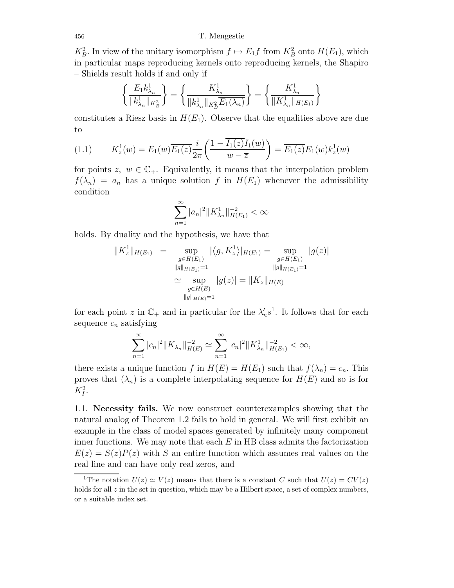456 T. Mengestie

 $K_B^2$ . In view of the unitary isomorphism  $f \mapsto E_1 f$  from  $K_B^2$  onto  $H(E_1)$ , which<br>in particular mans reproducing learned acts reproducing learned the Shapire in particular maps reproducing kernels onto reproducing kernels, the Shapiro – Shields result holds if and only if

$$
\left\{\frac{E_1 k_{\lambda_n}^1}{\|k_{\lambda_n}^1\|_{K_B^2}}\right\} = \left\{\frac{K_{\lambda_n}^1}{\|k_{\lambda_n}^1\|_{K_B^2} \overline{E_1(\lambda_n)}}\right\} = \left\{\frac{K_{\lambda_n}^1}{\|K_{\lambda_n}^1\|_{H(E_1)}}\right\}
$$

constitutes a Riesz basis in  $H(E_1)$ . Observe that the equalities above are due to

(1.1) 
$$
K_z^1(w) = E_1(w) \overline{E_1(z)} \frac{i}{2\pi} \left( \frac{1 - \overline{I_1(z)} I_1(w)}{w - \overline{z}} \right) = \overline{E_1(z)} E_1(w) k_z^1(w)
$$

for points  $z, w \in \mathbb{C}_+$ . Equivalently, it means that the interpolation problem  $f(\lambda_n) = a_n$  has a unique solution f in  $H(E_1)$  whenever the admissibility condition

$$
\sum_{n=1}^{\infty} |a_n|^2 \|K_{\lambda_n}^1\|_{H(E_1)}^{-2} < \infty
$$

holds. By duality and the hypothesis, we have that

$$
||K_z^1||_{H(E_1)} = \sup_{\substack{g \in H(E_1) \\ ||g||_{H(E_1)} = 1}} |\langle g, K_z^1 \rangle|_{H(E_1)} = \sup_{\substack{g \in H(E_1) \\ ||g||_{H(E_1)} = 1}} |g(z)|
$$
  

$$
\simeq \sup_{\substack{g \in H(E) \\ ||g||_{H(E)} = 1}} |g(z)| = ||K_z||_{H(E)}
$$

for each point z in  $\mathbb{C}_+$  and in particular for the  $\lambda'_n s^1$ . It follows that for each example a satisfying sequence  $c_n$  satisfying

$$
\sum_{n=1}^{\infty} |c_n|^2 ||K_{\lambda_n}||_{H(E)}^{-2} \simeq \sum_{n=1}^{\infty} |c_n|^2 ||K_{\lambda_n}^1||_{H(E_1)}^{-2} < \infty,
$$

there exists a unique function f in  $H(E) = H(E_1)$  such that  $f(\lambda_n) = c_n$ . This proves that  $(\lambda_n)$  is a complete interpolating sequence for  $H(E)$  and so is for  $K_I^2$ .

1.1. **Necessity fails.** We now construct counterexamples showing that the natural analog of Theorem 1.2 fails to hold in general. We will first exhibit an example in the class of model spaces generated by infinitely many component inner functions. We may note that each  $E$  in HB class admits the factorization  $E(z) = S(z)P(z)$  with S an entire function which assumes real values on the real line and can have only real zeros, and

<sup>&</sup>lt;sup>1</sup>The notation  $U(z) \simeq V(z)$  means that there is a constant *C* such that  $U(z) = CV(z)$ holds for all  $z$  in the set in question, which may be a Hilbert space, a set of complex numbers, or a suitable index set.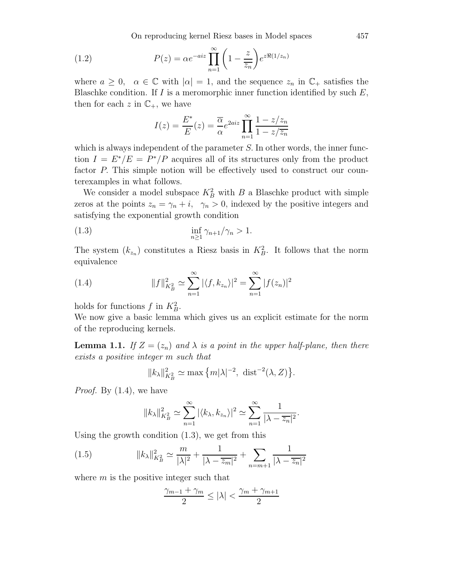On reproducing kernel Riesz bases in Model spaces 457

(1.2) 
$$
P(z) = \alpha e^{-aiz} \prod_{n=1}^{\infty} \left(1 - \frac{z}{z_n}\right) e^{z \Re(1/z_n)}
$$

where  $a \geq 0$ ,  $\alpha \in \mathbb{C}$  with  $|\alpha| = 1$ , and the sequence  $z_n$  in  $\mathbb{C}_+$  satisfies the Blaschke condition. If  $I$  is a meromorphic inner function identified by such  $E$ , then for each z in  $\mathbb{C}_+$ , we have

$$
I(z) = \frac{E^*}{E}(z) = \frac{\overline{\alpha}}{\alpha} e^{2aiz} \prod_{n=1}^{\infty} \frac{1 - z/z_n}{1 - z/\overline{z_n}}
$$

which is always independent of the parameter S. In other words, the inner function  $I = E^*/E = P^*/P$  acquires all of its structures only from the product factor P. This simple notion will be effectively used to construct our counterexamples in what follows.

We consider a model subspace  $K_B^2$  with B a Blaschke product with simple zeros at the points  $z_n = \gamma_n + i$ ,  $\gamma_n > 0$ , indexed by the positive integers and satisfying the exponential growth condition

(1.3) 
$$
\inf_{n\geq 1} \gamma_{n+1}/\gamma_n > 1.
$$

The system  $(k_{z_n})$  constitutes a Riesz basis in  $K_B^2$ . It follows that the norm equivalence

(1.4) 
$$
||f||_{K_B^2}^2 \simeq \sum_{n=1}^{\infty} |\langle f, k_{z_n} \rangle|^2 = \sum_{n=1}^{\infty} |f(z_n)|^2
$$

holds for functions  $f$  in  $K_B^2$ .

We now give a basic lemma which gives us an explicit estimate for the norm of the reproducing kernels.

**Lemma 1.1.** *If*  $Z = (z_n)$  *and*  $\lambda$  *is a point in the upper half-plane, then there exists a positive integer* m *such that*

$$
||k_{\lambda}||_{K^2_B}^2 \simeq \max\left\{m|\lambda|^{-2}, \text{ dist}^{-2}(\lambda, Z)\right\}.
$$

*Proof.* By (1.4), we have

$$
||k_{\lambda}||_{K_{B}^{2}}^{2} \simeq \sum_{n=1}^{\infty} |\langle k_{\lambda}, k_{z_{n}} \rangle|^{2} \simeq \sum_{n=1}^{\infty} \frac{1}{|\lambda - \overline{z_{n}}|^{2}}.
$$

Using the growth condition (1.3), we get from this

(1.5) 
$$
||k_{\lambda}||_{K_{B}^{2}}^{2} \simeq \frac{m}{|\lambda|^{2}} + \frac{1}{|\lambda - \overline{z_{m}}|^{2}} + \sum_{n=m+1} \frac{1}{|\lambda - \overline{z_{n}}|^{2}}
$$

where  $m$  is the positive integer such that

$$
\frac{\gamma_{m-1}+\gamma_m}{2}\leq |\lambda|<\frac{\gamma_m+\gamma_{m+1}}{2}
$$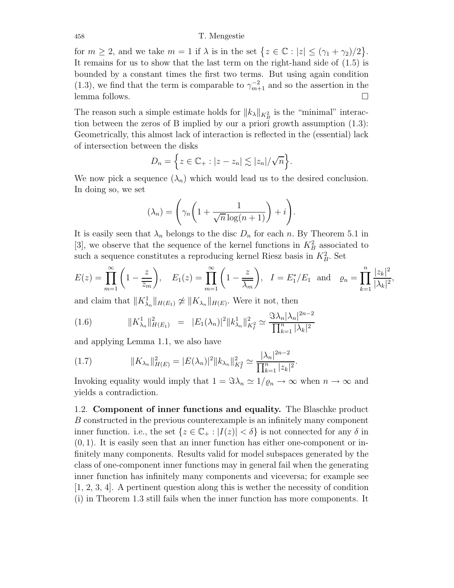#### 458 T. Mengestie

for  $m \geq 2$ , and we take  $m = 1$  if  $\lambda$  is in the set  $\{z \in \mathbb{C} : |z| \leq (\gamma_1 + \gamma_2)/2\}$ . It remains for us to show that the last term on the right-hand side of (1.5) is bounded by a constant times the first two terms. But using again condition (1.3), we find that the term is comparable to  $\gamma_{m+1}^{-2}$  and so the assertion in the large follows lemma follows.  $\Box$ 

The reason such a simple estimate holds for  $||k_\lambda||_{K_B^2}$  is the "minimal" interaction between the zeros of B implied by our a priori growth assumption (1.3): Geometrically, this almost lack of interaction is reflected in the (essential) lack of intersection between the disks

$$
D_n = \left\{ z \in \mathbb{C}_+ : |z - z_n| \lesssim |z_n|/\sqrt{n} \right\}.
$$

We now pick a sequence  $(\lambda_n)$  which would lead us to the desired conclusion. In doing so, we set

$$
(\lambda_n) = \left(\gamma_n \left(1 + \frac{1}{\sqrt{n} \log(n+1)}\right) + i\right).
$$

It is easily seen that  $\lambda_n$  belongs to the disc  $D_n$  for each n. By Theorem 5.1 in [3], we observe that the sequence of the kernel functions in  $K_B^2$  associated to such a sequence constitutes a reproducing lemal Biess begin in  $K_A^2$ . Set such a sequence constitutes a reproducing kernel Riesz basis in  $K_B^2$ . Set

$$
E(z) = \prod_{m=1}^{\infty} \left( 1 - \frac{z}{z_m} \right), \quad E_1(z) = \prod_{m=1}^{\infty} \left( 1 - \frac{z}{\overline{\lambda_m}} \right), \quad I = E_1^*/E_1 \text{ and } \varrho_n = \prod_{k=1}^n \frac{|z_k|^2}{|\lambda_k|^2},
$$

and claim that  $||K^1_{\lambda_n}||_{H(E_1)} \not\cong ||K_{\lambda_n}||_{H(E)}$ . Were it not, then

(1.6) 
$$
||K_{\lambda_n}^1||_{H(E_1)}^2 = |E_1(\lambda_n)|^2 ||k_{\lambda_n}^1||_{K_I^2}^2 \simeq \frac{\Im \lambda_n |\lambda_n|^{2n-2}}{\prod_{k=1}^n |\lambda_k|^2}
$$

and applying Lemma 1.1, we also have

(1.7) 
$$
||K_{\lambda_n}||_{H(E)}^2 = |E(\lambda_n)|^2 ||k_{\lambda_n}||_{K_I^2}^2 \simeq \frac{|\lambda_n|^{2n-2}}{\prod_{k=1}^n |z_k|^2}.
$$

Invoking equality would imply that  $1 = \Im \lambda_n \simeq 1/\varrho_n \to \infty$  when  $n \to \infty$  and yields a contradiction.

1.2. **Component of inner functions and equality.** The Blaschke product B constructed in the previous counterexample is an infinitely many component inner function. i.e., the set  $\{z \in \mathbb{C}_+ : |I(z)| < \delta\}$  is not connected for any  $\delta$  in  $(0, 1)$ . It is easily seen that an inner function has either one-component or infinitely many components. Results valid for model subspaces generated by the class of one-component inner functions may in general fail when the generating inner function has infinitely many components and viceversa; for example see [1, 2, 3, 4]. A pertinent question along this is wether the necessity of condition (i) in Theorem 1.3 still fails when the inner function has more components. It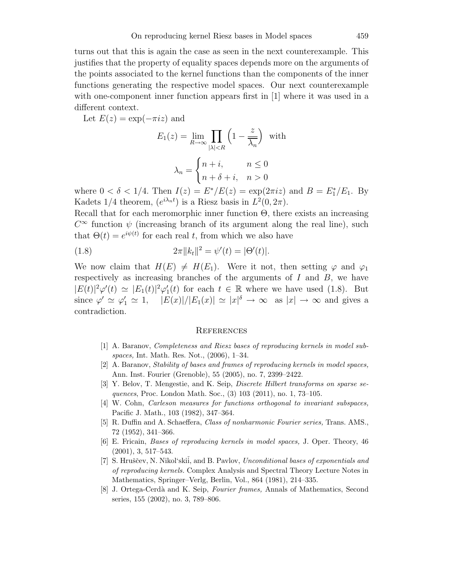turns out that this is again the case as seen in the next counterexample. This justifies that the property of equality spaces depends more on the arguments of the points associated to the kernel functions than the components of the inner functions generating the respective model spaces. Our next counterexample with one-component inner function appears first in [1] where it was used in a different context.

Let  $E(z) = \exp(-\pi i z)$  and

$$
E_1(z) = \lim_{R \to \infty} \prod_{|\lambda| < R} \left( 1 - \frac{z}{\overline{\lambda_n}} \right) \text{ with}
$$
\n
$$
\lambda_n = \begin{cases} n + i, & n \le 0 \\ n + \delta + i, & n > 0 \end{cases}
$$

where  $0 < \delta < 1/4$ . Then  $I(z) = E^* / E(z) = \exp(2\pi i z)$  and  $B = E_1^* / E_1$ . By Kadets  $1/4$  theorem,  $(e^{i\lambda_n t})$  is a Riesz basis in  $L^2(0, 2\pi)$ .

Recall that for each meromorphic inner function Θ, there exists an increasing  $C^{\infty}$  function  $\psi$  (increasing branch of its argument along the real line), such that  $\Theta(t) = e^{i\psi(t)}$  for each real t, from which we also have

(1.8) 
$$
2\pi ||k_t||^2 = \psi'(t) = |\Theta'(t)|.
$$

We now claim that  $H(E) \neq H(E_1)$ . Were it not, then setting  $\varphi$  and  $\varphi_1$ respectively as increasing branches of the arguments of  $I$  and  $B$ , we have  $|E(t)|^2\varphi'(t) \simeq |E_1(t)|^2\varphi'_1(t)$  for each  $t \in \mathbb{R}$  where we have used (1.8). But since  $\varphi' \simeq \varphi'_1 \simeq 1$ ,  $|E(x)|/|E_1(x)| \simeq |x|^{\delta} \to \infty$  as  $|x| \to \infty$  and gives a contradiction.

#### **REFERENCES**

- [1] A. Baranov, *Completeness and Riesz bases of reproducing kernels in model subspaces,* Int. Math. Res. Not., (2006), 1–34.
- [2] A. Baranov, *Stability of bases and frames of reproducing kernels in model spaces,* Ann. Inst. Fourier (Grenoble), 55 (2005), no. 7, 2399–2422.
- [3] Y. Belov, T. Mengestie, and K. Seip, *Discrete Hilbert transforms on sparse sequences*, Proc. London Math. Soc., (3) 103 (2011), no. 1, 73–105.
- [4] W. Cohn, *Carleson measures for functions orthogonal to invariant subspaces,* Pacific J. Math., 103 (1982), 347–364.
- [5] R. Duffin and A. Schaeffera, *Class of nonharmonic Fourier series,* Trans. AMS., 72 (1952), 341–366.
- [6] E. Fricain, *Bases of reproducing kernels in model spaces,* J. Oper. Theory, 46 (2001), 3, 517–543.
- [7] S. Hruščev, N. Nikol'skii, and B. Pavlov, *Unconditional bases of exponentials and of reproducing kernels.* Complex Analysis and Spectral Theory Lecture Notes in Mathematics, Springer–Verlg, Berlin, Vol., 864 (1981), 214–335.
- [8] J. Ortega-Cerd`a and K. Seip, *Fourier frames,* Annals of Mathematics, Second series, 155 (2002), no. 3, 789–806.